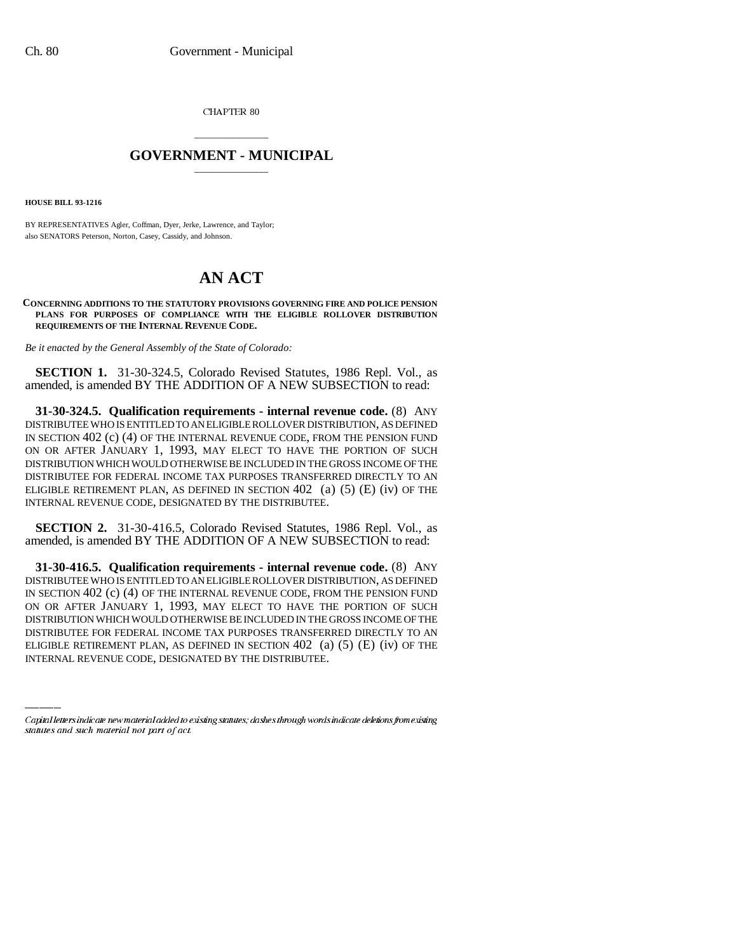CHAPTER 80

## \_\_\_\_\_\_\_\_\_\_\_\_\_\_\_ **GOVERNMENT - MUNICIPAL** \_\_\_\_\_\_\_\_\_\_\_\_\_\_\_

**HOUSE BILL 93-1216**

BY REPRESENTATIVES Agler, Coffman, Dyer, Jerke, Lawrence, and Taylor; also SENATORS Peterson, Norton, Casey, Cassidy, and Johnson.

## **AN ACT**

**CONCERNING ADDITIONS TO THE STATUTORY PROVISIONS GOVERNING FIRE AND POLICE PENSION PLANS FOR PURPOSES OF COMPLIANCE WITH THE ELIGIBLE ROLLOVER DISTRIBUTION REQUIREMENTS OF THE INTERNAL REVENUE CODE.**

*Be it enacted by the General Assembly of the State of Colorado:*

**SECTION 1.** 31-30-324.5, Colorado Revised Statutes, 1986 Repl. Vol., as amended, is amended BY THE ADDITION OF A NEW SUBSECTION to read:

**31-30-324.5. Qualification requirements - internal revenue code.** (8) ANY DISTRIBUTEE WHO IS ENTITLED TO AN ELIGIBLE ROLLOVER DISTRIBUTION, AS DEFINED IN SECTION 402 (c) (4) OF THE INTERNAL REVENUE CODE, FROM THE PENSION FUND ON OR AFTER JANUARY 1, 1993, MAY ELECT TO HAVE THE PORTION OF SUCH DISTRIBUTION WHICH WOULD OTHERWISE BE INCLUDED IN THE GROSS INCOME OF THE DISTRIBUTEE FOR FEDERAL INCOME TAX PURPOSES TRANSFERRED DIRECTLY TO AN ELIGIBLE RETIREMENT PLAN, AS DEFINED IN SECTION  $402$  (a)  $(5)$  (E) (iv) OF THE INTERNAL REVENUE CODE, DESIGNATED BY THE DISTRIBUTEE.

**SECTION 2.** 31-30-416.5, Colorado Revised Statutes, 1986 Repl. Vol., as amended, is amended BY THE ADDITION OF A NEW SUBSECTION to read:

DISTRIBUTION WHICH WOULD OTHERWISE BE INCLUDED IN THE GROSS INCOME OF THE **31-30-416.5. Qualification requirements - internal revenue code.** (8) ANY DISTRIBUTEE WHO IS ENTITLED TO AN ELIGIBLE ROLLOVER DISTRIBUTION, AS DEFINED IN SECTION 402 (c) (4) OF THE INTERNAL REVENUE CODE, FROM THE PENSION FUND ON OR AFTER JANUARY 1, 1993, MAY ELECT TO HAVE THE PORTION OF SUCH DISTRIBUTEE FOR FEDERAL INCOME TAX PURPOSES TRANSFERRED DIRECTLY TO AN ELIGIBLE RETIREMENT PLAN, AS DEFINED IN SECTION  $402$  (a) (5) (E) (iv) OF THE INTERNAL REVENUE CODE, DESIGNATED BY THE DISTRIBUTEE.

Capital letters indicate new material added to existing statutes; dashes through words indicate deletions from existing statutes and such material not part of act.